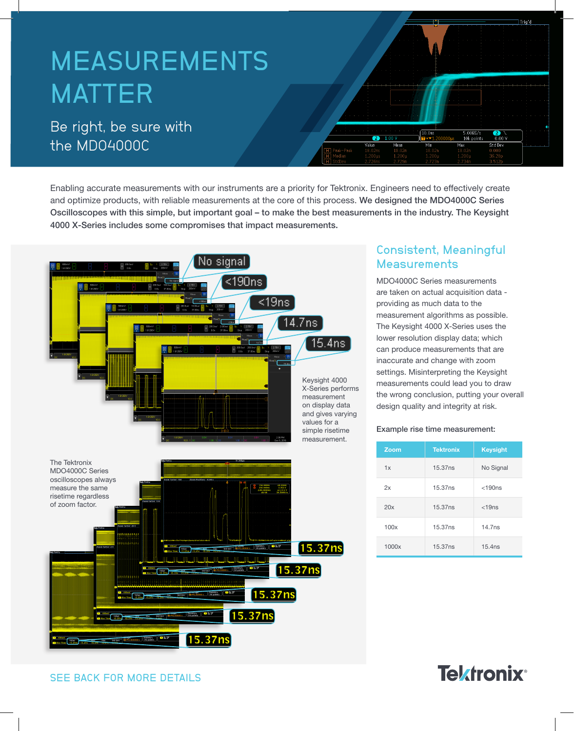# MEASUREMENTS MATTER

# Be right, be sure with the MDO4000C

Enabling accurate measurements with our instruments are a priority for Tektronix. Engineers need to effectively create and optimize products, with reliable measurements at the core of this process. We designed the MDO4000C Series Oscilloscopes with this simple, but important goal – to make the best measurements in the industry. The Keysight 4000 X-Series includes some compromises that impact measurements.



## Consistent, Meaningful **Measurements**

Mear

Min

Std De

MDO4000C Series measurements are taken on actual acquisition data providing as much data to the measurement algorithms as possible. The Keysight 4000 X-Series uses the lower resolution display data; which can produce measurements that are inaccurate and change with zoom settings. Misinterpreting the Keysight measurements could lead you to draw the wrong conclusion, putting your overall design quality and integrity at risk.

#### Example rise time measurement:

| Zoom  | <b>Tektronix</b> | <b>Keysight</b> |
|-------|------------------|-----------------|
| 1x    | 15.37ns          | No Signal       |
| 2x    | 15.37ns          | $<$ 190 $ns$    |
| 20x   | 15.37ns          | $<$ 19 $ns$     |
| 100x  | 15.37ns          | 14.7ns          |
| 1000x | 15.37ns          | 15.4ns          |

# **Tektronix®**

SEE BACK FOR MORE DETAILS